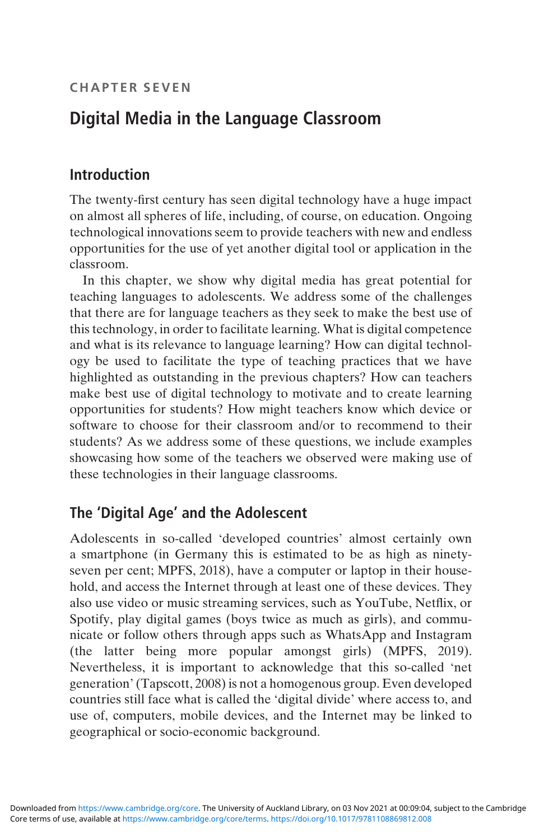# Digital Media in the Language Classroom

### Introduction

The twenty-first century has seen digital technology have a huge impact on almost all spheres of life, including, of course, on education. Ongoing technological innovations seem to provide teachers with new and endless opportunities for the use of yet another digital tool or application in the classroom.

In this chapter, we show why digital media has great potential for teaching languages to adolescents. We address some of the challenges that there are for language teachers as they seek to make the best use of this technology, in order to facilitate learning. What is digital competence and what is its relevance to language learning? How can digital technology be used to facilitate the type of teaching practices that we have highlighted as outstanding in the previous chapters? How can teachers make best use of digital technology to motivate and to create learning opportunities for students? How might teachers know which device or software to choose for their classroom and/or to recommend to their students? As we address some of these questions, we include examples showcasing how some of the teachers we observed were making use of these technologies in their language classrooms.

### The 'Digital Age' and the Adolescent

Adolescents in so-called 'developed countries' almost certainly own a smartphone (in Germany this is estimated to be as high as ninetyseven per cent; MPFS, 2018), have a computer or laptop in their household, and access the Internet through at least one of these devices. They also use video or music streaming services, such as YouTube, Netflix, or Spotify, play digital games (boys twice as much as girls), and communicate or follow others through apps such as WhatsApp and Instagram (the latter being more popular amongst girls) (MPFS, 2019). Nevertheless, it is important to acknowledge that this so-called 'net generation'(Tapscott, 2008) is not a homogenous group. Even developed countries still face what is called the 'digital divide' where access to, and use of, computers, mobile devices, and the Internet may be linked to geographical or socio-economic background.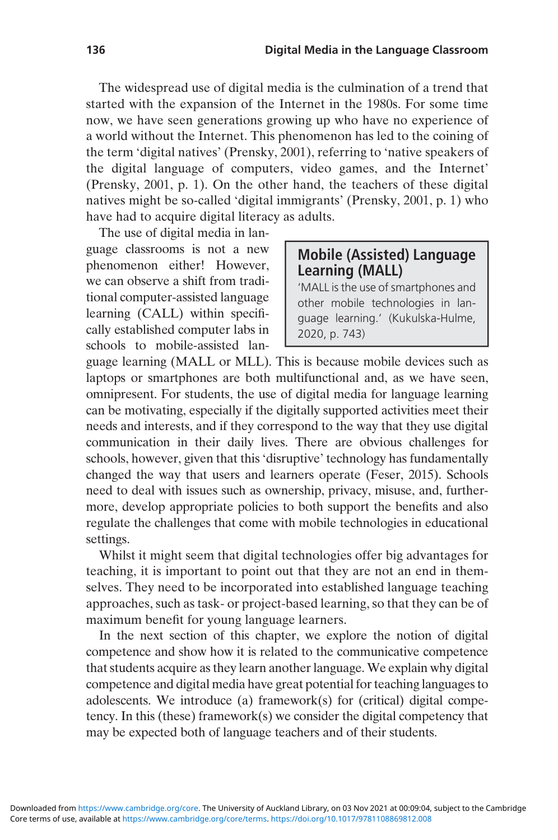The widespread use of digital media is the culmination of a trend that started with the expansion of the Internet in the 1980s. For some time now, we have seen generations growing up who have no experience of a world without the Internet. This phenomenon has led to the coining of the term 'digital natives' (Prensky, 2001), referring to 'native speakers of the digital language of computers, video games, and the Internet' (Prensky, 2001, p. 1). On the other hand, the teachers of these digital natives might be so-called 'digital immigrants' (Prensky, 2001, p. 1) who have had to acquire digital literacy as adults.

The use of digital media in language classrooms is not a new phenomenon either! However, we can observe a shift from traditional computer-assisted language learning (CALL) within specifically established computer labs in schools to mobile-assisted lan-

#### Mobile (Assisted) Language Learning (MALL)

'MALL is the use of smartphones and other mobile technologies in language learning.' (Kukulska-Hulme, 2020, p. 743)

guage learning (MALL or MLL). This is because mobile devices such as laptops or smartphones are both multifunctional and, as we have seen, omnipresent. For students, the use of digital media for language learning can be motivating, especially if the digitally supported activities meet their needs and interests, and if they correspond to the way that they use digital communication in their daily lives. There are obvious challenges for schools, however, given that this 'disruptive' technology has fundamentally changed the way that users and learners operate (Feser, 2015). Schools need to deal with issues such as ownership, privacy, misuse, and, furthermore, develop appropriate policies to both support the benefits and also regulate the challenges that come with mobile technologies in educational settings.

Whilst it might seem that digital technologies offer big advantages for teaching, it is important to point out that they are not an end in themselves. They need to be incorporated into established language teaching approaches, such as task- or project-based learning, so that they can be of maximum benefit for young language learners.

In the next section of this chapter, we explore the notion of digital competence and show how it is related to the communicative competence that students acquire as they learn another language. We explain why digital competence and digital media have great potential for teaching languages to adolescents. We introduce (a) framework(s) for (critical) digital competency. In this (these) framework(s) we consider the digital competency that may be expected both of language teachers and of their students.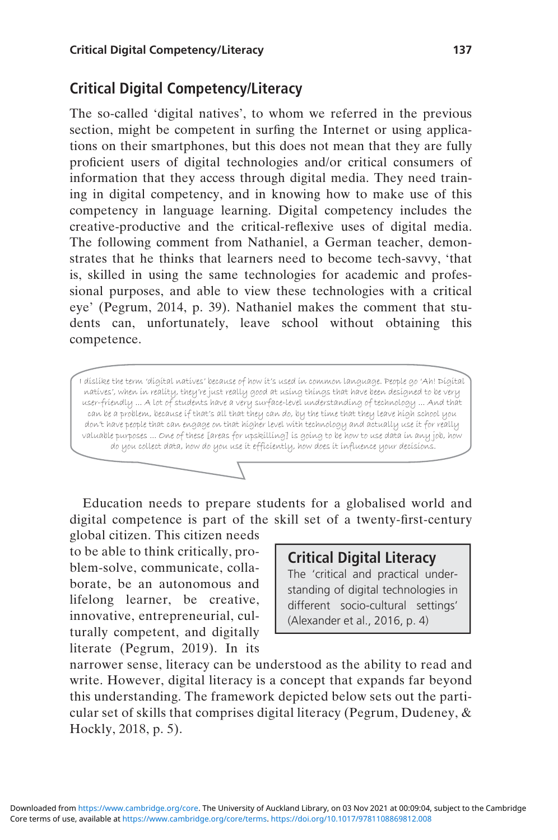### Critical Digital Competency/Literacy

The so-called 'digital natives', to whom we referred in the previous section, might be competent in surfing the Internet or using applications on their smartphones, but this does not mean that they are fully proficient users of digital technologies and/or critical consumers of information that they access through digital media. They need training in digital competency, and in knowing how to make use of this competency in language learning. Digital competency includes the creative-productive and the critical-reflexive uses of digital media. The following comment from Nathaniel, a German teacher, demonstrates that he thinks that learners need to become tech-savvy, 'that is, skilled in using the same technologies for academic and professional purposes, and able to view these technologies with a critical eye' (Pegrum, 2014, p. 39). Nathaniel makes the comment that students can, unfortunately, leave school without obtaining this competence.

I dislike the term 'digital natives' because of how it's used in common language. People go 'Ah! Digital natives', when in reality, they're just really good at using things that have been designed to be very user-friendly ... A lot of students have a very surface-level understanding of technology ... And that can be a problem, because if that's all that they can do, by the time that they leave high school you don't have people that can engage on that higher level with technology and actually use it for really valuable purposes ... One of these [areas for upskilling] is going to be how to use data in any job, how do you collect data, how do you use it efficiently, how does it influence your decisions.

Education needs to prepare students for a globalised world and digital competence is part of the skill set of a twenty-first-century

global citizen. This citizen needs to be able to think critically, problem-solve, communicate, collaborate, be an autonomous and lifelong learner, be creative, innovative, entrepreneurial, culturally competent, and digitally literate (Pegrum, 2019). In its

#### Critical Digital Literacy

The 'critical and practical understanding of digital technologies in different socio-cultural settings' (Alexander et al., 2016, p. 4)

narrower sense, literacy can be understood as the ability to read and write. However, digital literacy is a concept that expands far beyond this understanding. The framework depicted below sets out the particular set of skills that comprises digital literacy (Pegrum, Dudeney, & Hockly, 2018, p. 5).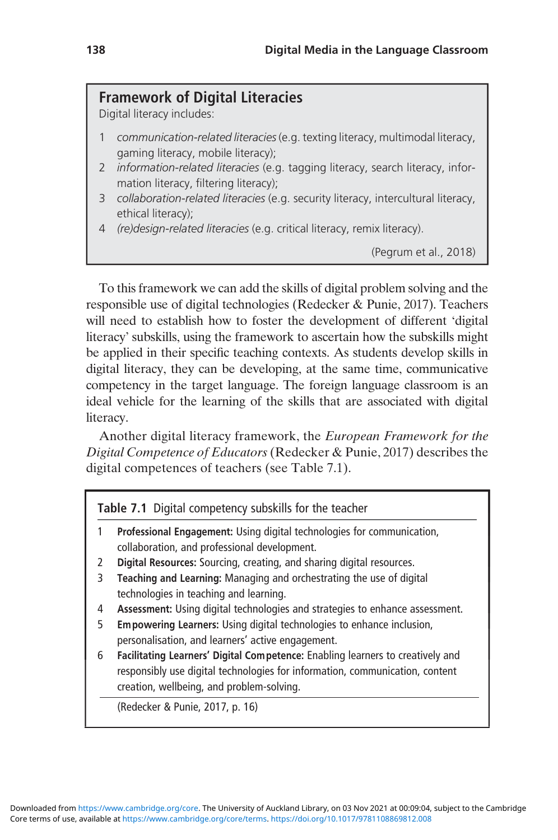#### Framework of Digital Literacies

Digital literacy includes:

- communication-related literacies (e.g. texting literacy, multimodal literacy, gaming literacy, mobile literacy);
- 2 *information-related literacies* (e.g. tagging literacy, search literacy, information literacy, filtering literacy);
- 3 collaboration-related literacies (e.g. security literacy, intercultural literacy, ethical literacy);
- 4 (re)design-related literacies (e.g. critical literacy, remix literacy).

(Pegrum et al., 2018)

To this framework we can add the skills of digital problem solving and the responsible use of digital technologies (Redecker & Punie, 2017). Teachers will need to establish how to foster the development of different 'digital literacy' subskills, using the framework to ascertain how the subskills might be applied in their specific teaching contexts. As students develop skills in digital literacy, they can be developing, at the same time, communicative competency in the target language. The foreign language classroom is an ideal vehicle for the learning of the skills that are associated with digital literacy.

Another digital literacy framework, the European Framework for the Digital Competence of Educators(Redecker & Punie, 2017) describes the digital competences of teachers (see Table 7.1).

Table 7.1 Digital competency subskills for the teacher

- 1 Professional Engagement: Using digital technologies for communication, collaboration, and professional development.
- 2 Digital Resources: Sourcing, creating, and sharing digital resources.
- 3 Teaching and Learning: Managing and orchestrating the use of digital technologies in teaching and learning.
- 4 Assessment: Using digital technologies and strategies to enhance assessment.
- 5 Empowering Learners: Using digital technologies to enhance inclusion, personalisation, and learners' active engagement.
- 6 Facilitating Learners' Digital Competence: Enabling learners to creatively and responsibly use digital technologies for information, communication, content creation, wellbeing, and problem-solving.

(Redecker & Punie, 2017, p. 16)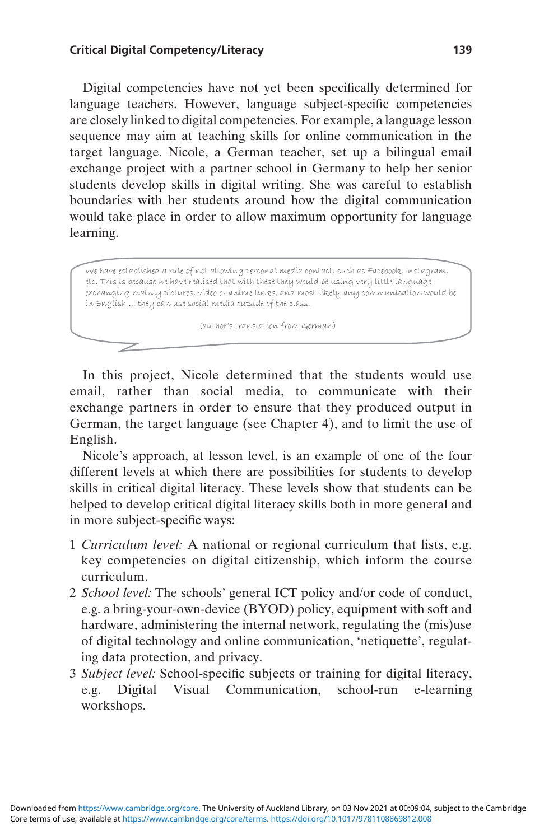#### Critical Digital Competency/Literacy 139

Digital competencies have not yet been specifically determined for language teachers. However, language subject-specific competencies are closely linked to digital competencies. For example, a language lesson sequence may aim at teaching skills for online communication in the target language. Nicole, a German teacher, set up a bilingual email exchange project with a partner school in Germany to help her senior students develop skills in digital writing. She was careful to establish boundaries with her students around how the digital communication would take place in order to allow maximum opportunity for language learning.

We have established a rule of not allowing personal media contact, such as Facebook, Instagram, etc. This is because we have realised that with these they would be using very little language – exchanging mainly pictures, video or anime links, and most likely any communication would be in English ... they can use social media outside of the class.

(author's translation from German)

In this project, Nicole determined that the students would use email, rather than social media, to communicate with their exchange partners in order to ensure that they produced output in German, the target language (see Chapter 4), and to limit the use of English.

Nicole's approach, at lesson level, is an example of one of the four different levels at which there are possibilities for students to develop skills in critical digital literacy. These levels show that students can be helped to develop critical digital literacy skills both in more general and in more subject-specific ways:

- 1 Curriculum level: A national or regional curriculum that lists, e.g. key competencies on digital citizenship, which inform the course curriculum.
- 2 School level: The schools' general ICT policy and/or code of conduct, e.g. a bring-your-own-device (BYOD) policy, equipment with soft and hardware, administering the internal network, regulating the (mis)use of digital technology and online communication, 'netiquette', regulating data protection, and privacy.
- 3 Subject level: School-specific subjects or training for digital literacy, e.g. Digital Visual Communication, school-run e-learning workshops.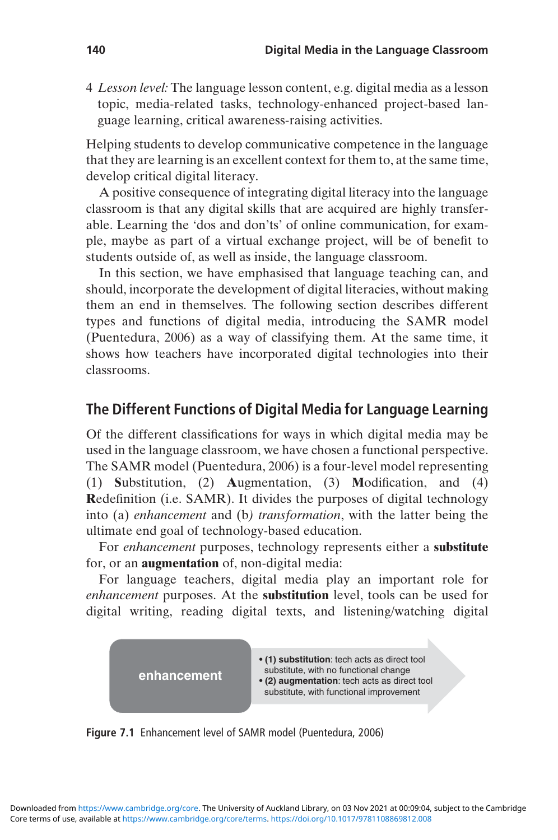4 Lesson level: The language lesson content, e.g. digital media as a lesson topic, media-related tasks, technology-enhanced project-based language learning, critical awareness-raising activities.

Helping students to develop communicative competence in the language that they are learning is an excellent context for them to, at the same time, develop critical digital literacy.

A positive consequence of integrating digital literacy into the language classroom is that any digital skills that are acquired are highly transferable. Learning the 'dos and don'ts' of online communication, for example, maybe as part of a virtual exchange project, will be of benefit to students outside of, as well as inside, the language classroom.

In this section, we have emphasised that language teaching can, and should, incorporate the development of digital literacies, without making them an end in themselves. The following section describes different types and functions of digital media, introducing the SAMR model (Puentedura, 2006) as a way of classifying them. At the same time, it shows how teachers have incorporated digital technologies into their classrooms.

### The Different Functions of Digital Media for Language Learning

Of the different classifications for ways in which digital media may be used in the language classroom, we have chosen a functional perspective. The SAMR model (Puentedura, 2006) is a four-level model representing (1) Substitution, (2) Augmentation, (3) Modification, and (4) Redefinition (i.e. SAMR). It divides the purposes of digital technology into (a) enhancement and (b) transformation, with the latter being the ultimate end goal of technology-based education.

For enhancement purposes, technology represents either a substitute for, or an augmentation of, non-digital media:

For language teachers, digital media play an important role for enhancement purposes. At the substitution level, tools can be used for digital writing, reading digital texts, and listening/watching digital



Figure 7.1 Enhancement level of SAMR model (Puentedura, 2006)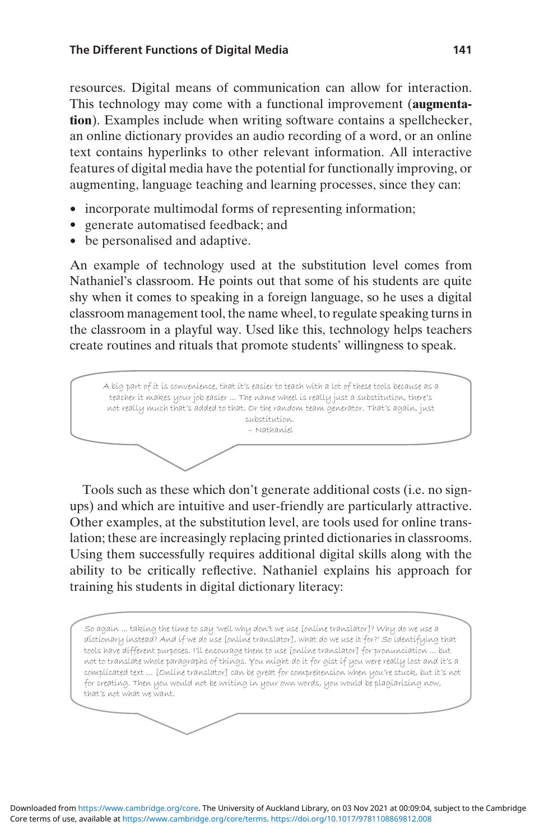resources. Digital means of communication can allow for interaction. This technology may come with a functional improvement (augmentation). Examples include when writing software contains a spellchecker, an online dictionary provides an audio recording of a word, or an online text contains hyperlinks to other relevant information. All interactive features of digital media have the potential for functionally improving, or augmenting, language teaching and learning processes, since they can:

- incorporate multimodal forms of representing information;
- generate automatised feedback; and
- be personalised and adaptive.

An example of technology used at the substitution level comes from Nathaniel's classroom. He points out that some of his students are quite shy when it comes to speaking in a foreign language, so he uses a digital classroom management tool, the name wheel, to regulate speaking turns in the classroom in a playful way. Used like this, technology helps teachers create routines and rituals that promote students' willingness to speak.

A big part of it is convenience, that it's easier to teach with a lot of these tools because as a teacher it makes your job easier ... The name wheel is really just a substitution, there's not really much that's added to that. Or the random team generator. That's again, just substitution. – Nathaniel

Tools such as these which don't generate additional costs (i.e. no signups) and which are intuitive and user-friendly are particularly attractive. Other examples, at the substitution level, are tools used for online translation; these are increasingly replacing printed dictionaries in classrooms. Using them successfully requires additional digital skills along with the ability to be critically reflective. Nathaniel explains his approach for training his students in digital dictionary literacy:

So again ... taking the time to say 'well why don't we use [online translator]? Why do we use a dictionary instead? And if we do use [online translator], what do we use it for?' So identifying that tools have different purposes. I'll encourage them to use [online translator] for pronunciation ... but not to translate whole paragraphs of things. You might do it for gist if you were really lost and it's a complicated text … [Online translator] can be great for comprehension when you're stuck, but it's not for creating. Then you would not be writing in your own words, you would be plagiarising now, that's not what we want.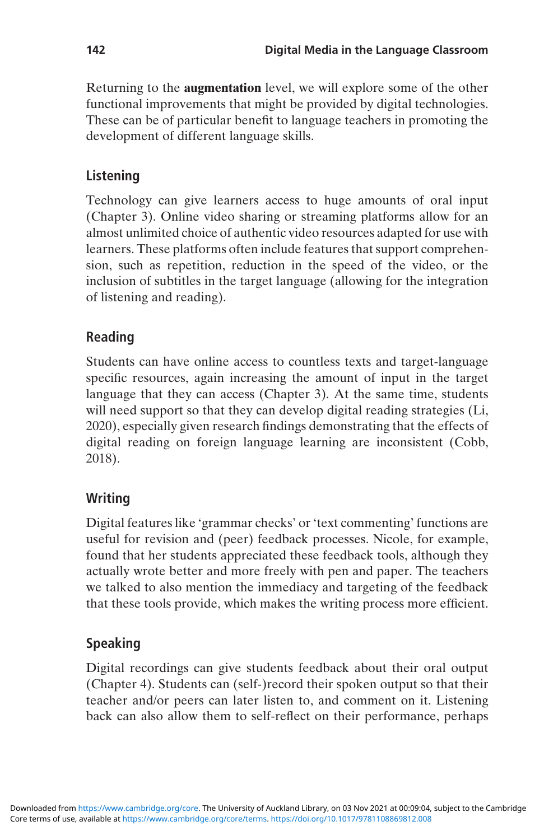Returning to the augmentation level, we will explore some of the other functional improvements that might be provided by digital technologies. These can be of particular benefit to language teachers in promoting the development of different language skills.

### Listening

Technology can give learners access to huge amounts of oral input (Chapter 3). Online video sharing or streaming platforms allow for an almost unlimited choice of authentic video resources adapted for use with learners. These platforms often include features that support comprehension, such as repetition, reduction in the speed of the video, or the inclusion of subtitles in the target language (allowing for the integration of listening and reading).

### Reading

Students can have online access to countless texts and target-language specific resources, again increasing the amount of input in the target language that they can access (Chapter 3). At the same time, students will need support so that they can develop digital reading strategies (Li, 2020), especially given research findings demonstrating that the effects of digital reading on foreign language learning are inconsistent (Cobb, 2018).

#### Writing

Digital features like 'grammar checks' or 'text commenting' functions are useful for revision and (peer) feedback processes. Nicole, for example, found that her students appreciated these feedback tools, although they actually wrote better and more freely with pen and paper. The teachers we talked to also mention the immediacy and targeting of the feedback that these tools provide, which makes the writing process more efficient.

### Speaking

Digital recordings can give students feedback about their oral output (Chapter 4). Students can (self-)record their spoken output so that their teacher and/or peers can later listen to, and comment on it. Listening back can also allow them to self-reflect on their performance, perhaps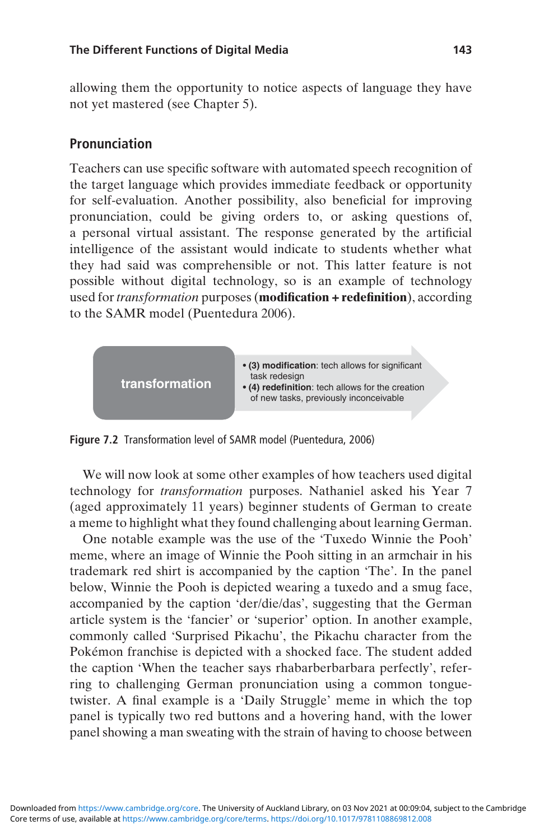allowing them the opportunity to notice aspects of language they have not yet mastered (see Chapter 5).

#### Pronunciation

Teachers can use specific software with automated speech recognition of the target language which provides immediate feedback or opportunity for self-evaluation. Another possibility, also beneficial for improving pronunciation, could be giving orders to, or asking questions of, a personal virtual assistant. The response generated by the artificial intelligence of the assistant would indicate to students whether what they had said was comprehensible or not. This latter feature is not possible without digital technology, so is an example of technology used for transformation purposes (modification + redefinition), according to the SAMR model (Puentedura 2006).



Figure 7.2 Transformation level of SAMR model (Puentedura, 2006)

We will now look at some other examples of how teachers used digital technology for transformation purposes. Nathaniel asked his Year 7 (aged approximately 11 years) beginner students of German to create a meme to highlight what they found challenging about learning German.

One notable example was the use of the 'Tuxedo Winnie the Pooh' meme, where an image of Winnie the Pooh sitting in an armchair in his trademark red shirt is accompanied by the caption 'The'. In the panel below, Winnie the Pooh is depicted wearing a tuxedo and a smug face, accompanied by the caption 'der/die/das', suggesting that the German article system is the 'fancier' or 'superior' option. In another example, commonly called 'Surprised Pikachu', the Pikachu character from the Pokémon franchise is depicted with a shocked face. The student added the caption 'When the teacher says rhabarberbarbara perfectly', referring to challenging German pronunciation using a common tonguetwister. A final example is a 'Daily Struggle' meme in which the top panel is typically two red buttons and a hovering hand, with the lower panel showing a man sweating with the strain of having to choose between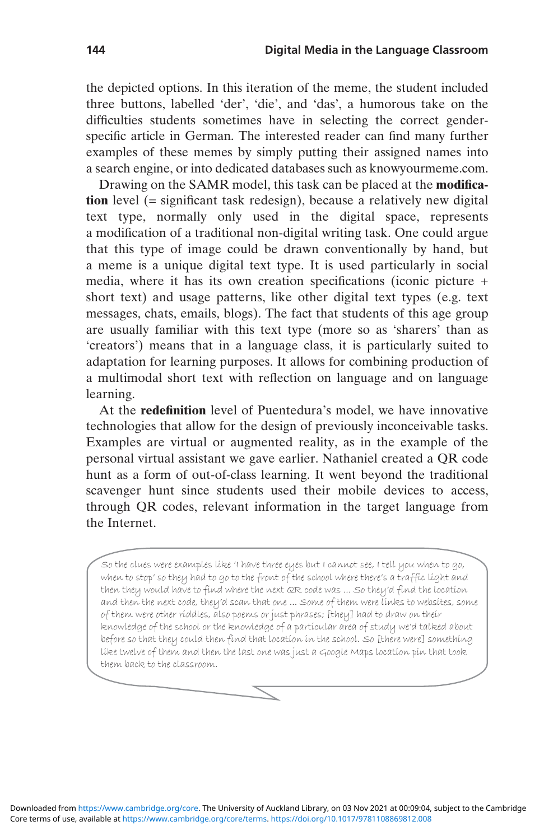the depicted options. In this iteration of the meme, the student included three buttons, labelled 'der', 'die', and 'das', a humorous take on the difficulties students sometimes have in selecting the correct genderspecific article in German. The interested reader can find many further examples of these memes by simply putting their assigned names into a search engine, or into dedicated databases such as knowyourmeme.com.

Drawing on the SAMR model, this task can be placed at the modification level (= significant task redesign), because a relatively new digital text type, normally only used in the digital space, represents a modification of a traditional non-digital writing task. One could argue that this type of image could be drawn conventionally by hand, but a meme is a unique digital text type. It is used particularly in social media, where it has its own creation specifications (iconic picture + short text) and usage patterns, like other digital text types (e.g. text messages, chats, emails, blogs). The fact that students of this age group are usually familiar with this text type (more so as 'sharers' than as 'creators') means that in a language class, it is particularly suited to adaptation for learning purposes. It allows for combining production of a multimodal short text with reflection on language and on language learning.

At the redefinition level of Puentedura's model, we have innovative technologies that allow for the design of previously inconceivable tasks. Examples are virtual or augmented reality, as in the example of the personal virtual assistant we gave earlier. Nathaniel created a QR code hunt as a form of out-of-class learning. It went beyond the traditional scavenger hunt since students used their mobile devices to access, through QR codes, relevant information in the target language from the Internet.

So the clues were examples like 'I have three eyes but I cannot see, I tell you when to go, when to stop' so they had to go to the front of the school where there's a traffic light and then they would have to find where the next QR code was ... So they'd find the location and then the next code, they'd scan that one ... Some of them were links to websites, some of them were other riddles, also poems or just phrases; [they] had to draw on their knowledge of the school or the knowledge of a particular area of study we'd talked about before so that they could then find that location in the school. So [there were] something like twelve of them and then the last one was just a Google Maps location pin that took them back to the classroom.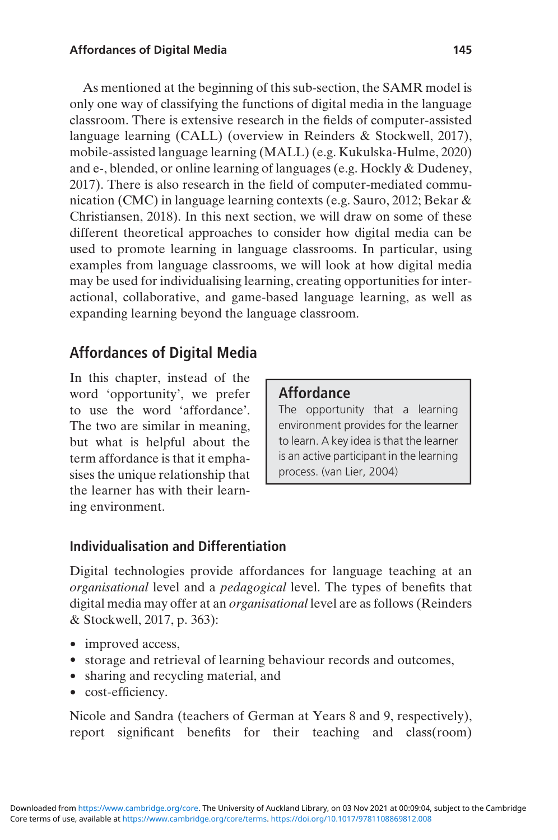As mentioned at the beginning of this sub-section, the SAMR model is only one way of classifying the functions of digital media in the language classroom. There is extensive research in the fields of computer-assisted language learning (CALL) (overview in Reinders & Stockwell, 2017), mobile-assisted language learning (MALL) (e.g. Kukulska-Hulme, 2020) and e-, blended, or online learning of languages (e.g. Hockly & Dudeney, 2017). There is also research in the field of computer-mediated communication (CMC) in language learning contexts (e.g. Sauro, 2012; Bekar & Christiansen, 2018). In this next section, we will draw on some of these different theoretical approaches to consider how digital media can be used to promote learning in language classrooms. In particular, using examples from language classrooms, we will look at how digital media may be used for individualising learning, creating opportunities for interactional, collaborative, and game-based language learning, as well as expanding learning beyond the language classroom.

## Affordances of Digital Media

In this chapter, instead of the word 'opportunity', we prefer to use the word 'affordance'. The two are similar in meaning, but what is helpful about the term affordance is that it emphasises the unique relationship that the learner has with their learning environment.

### **Affordance**

The opportunity that a learning environment provides for the learner to learn. A key idea is that the learner is an active participant in the learning process. (van Lier, 2004)

### Individualisation and Differentiation

Digital technologies provide affordances for language teaching at an organisational level and a pedagogical level. The types of benefits that digital media may offer at an organisational level are as follows (Reinders & Stockwell, 2017, p. 363):

- improved access,
- storage and retrieval of learning behaviour records and outcomes,
- sharing and recycling material, and
- cost-efficiency.

Nicole and Sandra (teachers of German at Years 8 and 9, respectively), report significant benefits for their teaching and class(room)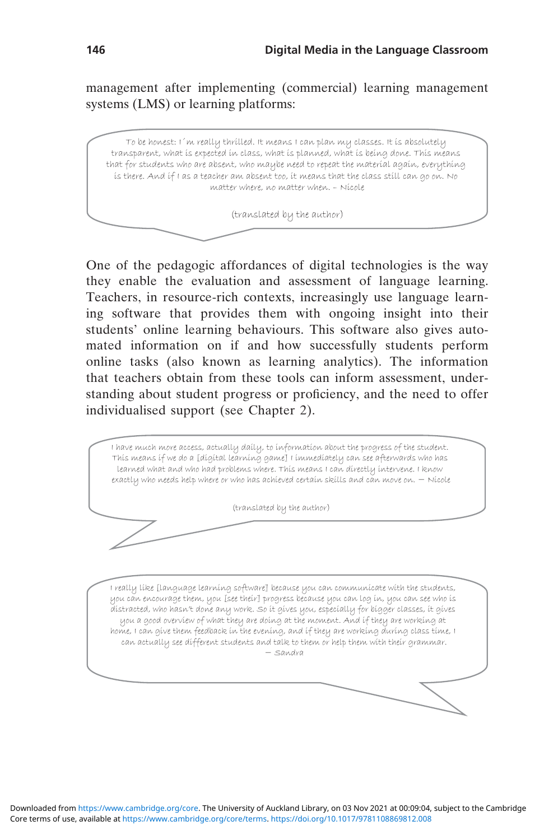management after implementing (commercial) learning management systems (LMS) or learning platforms:

To be honest: I´m really thrilled. It means I can plan my classes. It is absolutely transparent, what is expected in class, what is planned, what is being done. This means that for students who are absent, who maybe need to repeat the material again, everything is there. And if I as a teacher am absent too, it means that the class still can go on. No matter where, no matter when. – Nicole

(translated by the author)

One of the pedagogic affordances of digital technologies is the way they enable the evaluation and assessment of language learning. Teachers, in resource-rich contexts, increasingly use language learning software that provides them with ongoing insight into their students' online learning behaviours. This software also gives automated information on if and how successfully students perform online tasks (also known as learning analytics). The information that teachers obtain from these tools can inform assessment, understanding about student progress or proficiency, and the need to offer individualised support (see Chapter 2).

I have much more access, actually daily, to information about the progress of the student. This means if we do a [digital learning game] I immediately can see afterwards who has learned what and who had problems where. This means I can directly intervene. I know exactly who needs help where or who has achieved certain skills and can move on. − Nicole

(translated by the author)

I really like [language learning software] because you can communicate with the students, you can encourage them, you [see their] progress because you can log in, you can see who is distracted, who hasn't done any work. So it gives you, especially for bigger classes, it gives you a good overview of what they are doing at the moment. And if they are working at home, I can give them feedback in the evening, and if they are working during class time, I can actually see different students and talk to them or help them with their grammar. − Sandra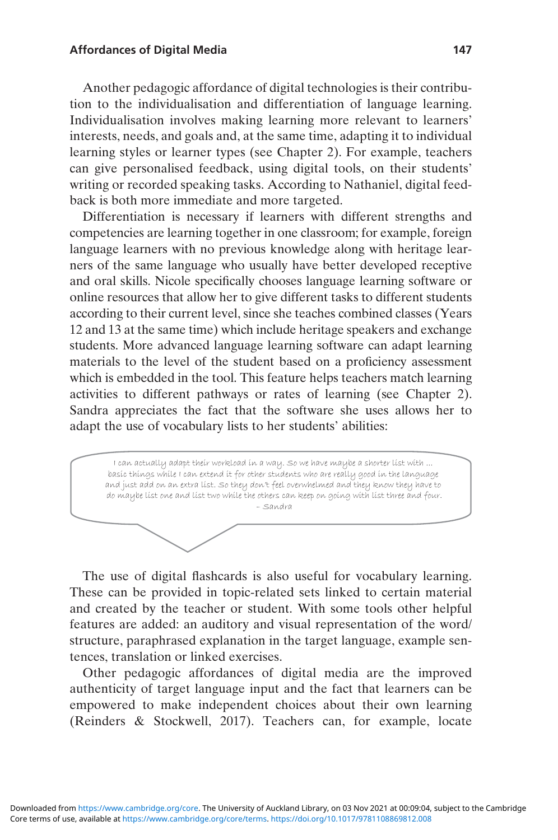#### Affordances of Digital Media 147

Another pedagogic affordance of digital technologies is their contribution to the individualisation and differentiation of language learning. Individualisation involves making learning more relevant to learners' interests, needs, and goals and, at the same time, adapting it to individual learning styles or learner types (see Chapter 2). For example, teachers can give personalised feedback, using digital tools, on their students' writing or recorded speaking tasks. According to Nathaniel, digital feedback is both more immediate and more targeted.

Differentiation is necessary if learners with different strengths and competencies are learning together in one classroom; for example, foreign language learners with no previous knowledge along with heritage learners of the same language who usually have better developed receptive and oral skills. Nicole specifically chooses language learning software or online resources that allow her to give different tasks to different students according to their current level, since she teaches combined classes (Years 12 and 13 at the same time) which include heritage speakers and exchange students. More advanced language learning software can adapt learning materials to the level of the student based on a proficiency assessment which is embedded in the tool. This feature helps teachers match learning activities to different pathways or rates of learning (see Chapter 2). Sandra appreciates the fact that the software she uses allows her to adapt the use of vocabulary lists to her students' abilities:

I can actually adapt their workload in a way. So we have maybe a shorter list with ... basic things while I can extend it for other students who are really good in the language and just add on an extra list. So they don't feel overwhelmed and they know they have to do maybe list one and list two while the others can keep on going with list three and four. – Sandra

The use of digital flashcards is also useful for vocabulary learning. These can be provided in topic-related sets linked to certain material and created by the teacher or student. With some tools other helpful features are added: an auditory and visual representation of the word/ structure, paraphrased explanation in the target language, example sentences, translation or linked exercises.

Other pedagogic affordances of digital media are the improved authenticity of target language input and the fact that learners can be empowered to make independent choices about their own learning (Reinders & Stockwell, 2017). Teachers can, for example, locate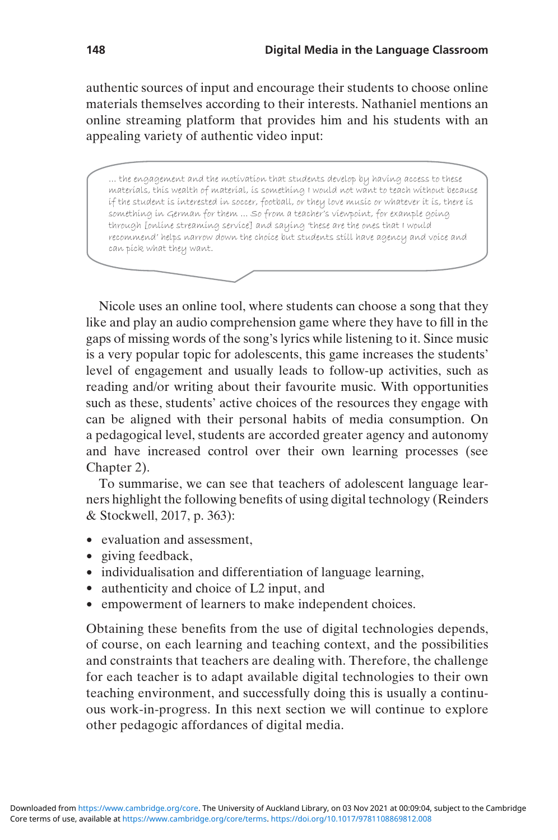authentic sources of input and encourage their students to choose online materials themselves according to their interests. Nathaniel mentions an online streaming platform that provides him and his students with an appealing variety of authentic video input:

… the engagement and the motivation that students develop by having access to these materials, this wealth of material, is something I would not want to teach without because if the student is interested in soccer, football, or they love music or whatever it is, there is something in German for them ... So from a teacher's viewpoint, for example going through [online streaming service] and saying 'these are the ones that I would recommend' helps narrow down the choice but students still have agency and voice and can pick what they want.

Nicole uses an online tool, where students can choose a song that they like and play an audio comprehension game where they have to fill in the gaps of missing words of the song's lyrics while listening to it. Since music is a very popular topic for adolescents, this game increases the students' level of engagement and usually leads to follow-up activities, such as reading and/or writing about their favourite music. With opportunities such as these, students' active choices of the resources they engage with can be aligned with their personal habits of media consumption. On a pedagogical level, students are accorded greater agency and autonomy and have increased control over their own learning processes (see Chapter 2).

To summarise, we can see that teachers of adolescent language learners highlight the following benefits of using digital technology (Reinders & Stockwell, 2017, p. 363):

- evaluation and assessment,
- giving feedback,
- individualisation and differentiation of language learning,
- authenticity and choice of L2 input, and
- empowerment of learners to make independent choices.

Obtaining these benefits from the use of digital technologies depends, of course, on each learning and teaching context, and the possibilities and constraints that teachers are dealing with. Therefore, the challenge for each teacher is to adapt available digital technologies to their own teaching environment, and successfully doing this is usually a continuous work-in-progress. In this next section we will continue to explore other pedagogic affordances of digital media.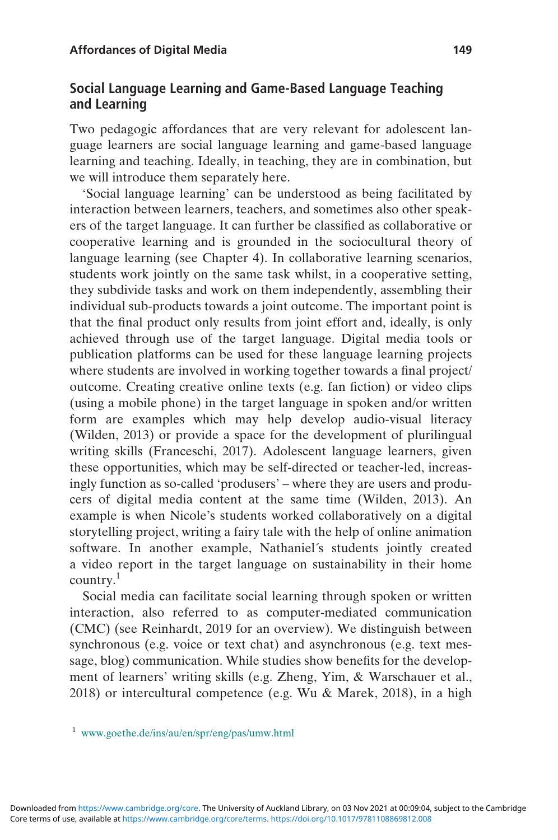#### Social Language Learning and Game-Based Language Teaching and Learning

Two pedagogic affordances that are very relevant for adolescent language learners are social language learning and game-based language learning and teaching. Ideally, in teaching, they are in combination, but we will introduce them separately here.

'Social language learning' can be understood as being facilitated by interaction between learners, teachers, and sometimes also other speakers of the target language. It can further be classified as collaborative or cooperative learning and is grounded in the sociocultural theory of language learning (see Chapter 4). In collaborative learning scenarios, students work jointly on the same task whilst, in a cooperative setting, they subdivide tasks and work on them independently, assembling their individual sub-products towards a joint outcome. The important point is that the final product only results from joint effort and, ideally, is only achieved through use of the target language. Digital media tools or publication platforms can be used for these language learning projects where students are involved in working together towards a final project/ outcome. Creating creative online texts (e.g. fan fiction) or video clips (using a mobile phone) in the target language in spoken and/or written form are examples which may help develop audio-visual literacy (Wilden, 2013) or provide a space for the development of plurilingual writing skills (Franceschi, 2017). Adolescent language learners, given these opportunities, which may be self-directed or teacher-led, increasingly function as so-called 'produsers' – where they are users and producers of digital media content at the same time (Wilden, 2013). An example is when Nicole's students worked collaboratively on a digital storytelling project, writing a fairy tale with the help of online animation software. In another example, Nathaniel´s students jointly created a video report in the target language on sustainability in their home country.1

Social media can facilitate social learning through spoken or written interaction, also referred to as computer-mediated communication (CMC) (see Reinhardt, 2019 for an overview). We distinguish between synchronous (e.g. voice or text chat) and asynchronous (e.g. text message, blog) communication. While studies show benefits for the development of learners' writing skills (e.g. Zheng, Yim, & Warschauer et al., 2018) or intercultural competence (e.g. Wu & Marek, 2018), in a high

<sup>1</sup> [www.goethe.de/ins/au/en/spr/eng/pas/umw.html](https://www.goethe.de/ins/au/en/spr/eng/pas/umw.html)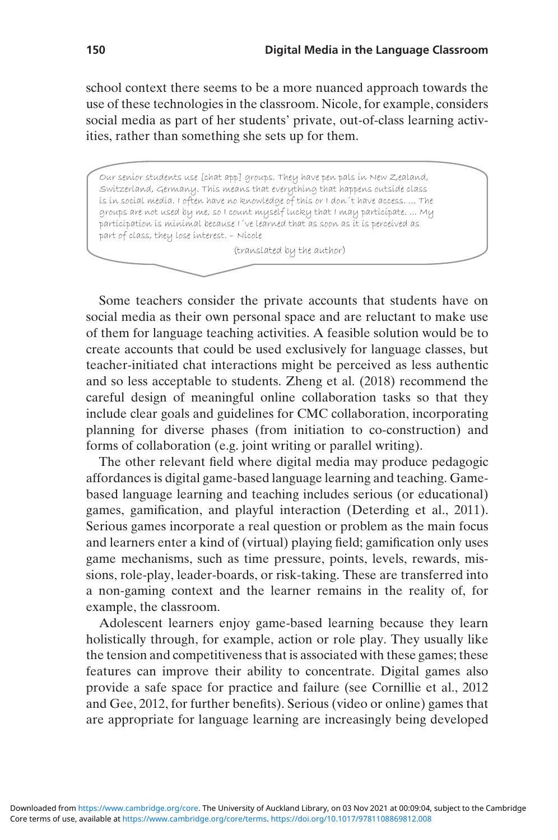school context there seems to be a more nuanced approach towards the use of these technologies in the classroom. Nicole, for example, considers social media as part of her students' private, out-of-class learning activities, rather than something she sets up for them.

Our senior students use [chat app] groups. They have pen pals in New Zealand, Switzerland, Germany. This means that everything that happens outside class is in social media. I often have no knowledge of this or I don´t have access. ... The groups are not used by me, so I count myself lucky that I may participate. ... My participation is minimal because I´ve learned that as soon as it is perceived as part of class, they lose interest. – Nicole

(translated by the author)

Some teachers consider the private accounts that students have on social media as their own personal space and are reluctant to make use of them for language teaching activities. A feasible solution would be to create accounts that could be used exclusively for language classes, but teacher-initiated chat interactions might be perceived as less authentic and so less acceptable to students. Zheng et al. (2018) recommend the careful design of meaningful online collaboration tasks so that they include clear goals and guidelines for CMC collaboration, incorporating planning for diverse phases (from initiation to co-construction) and forms of collaboration (e.g. joint writing or parallel writing).

The other relevant field where digital media may produce pedagogic affordances is digital game-based language learning and teaching. Gamebased language learning and teaching includes serious (or educational) games, gamification, and playful interaction (Deterding et al., 2011). Serious games incorporate a real question or problem as the main focus and learners enter a kind of (virtual) playing field; gamification only uses game mechanisms, such as time pressure, points, levels, rewards, missions, role-play, leader-boards, or risk-taking. These are transferred into a non-gaming context and the learner remains in the reality of, for example, the classroom.

Adolescent learners enjoy game-based learning because they learn holistically through, for example, action or role play. They usually like the tension and competitiveness that is associated with these games; these features can improve their ability to concentrate. Digital games also provide a safe space for practice and failure (see Cornillie et al., 2012 and Gee, 2012, for further benefits). Serious (video or online) games that are appropriate for language learning are increasingly being developed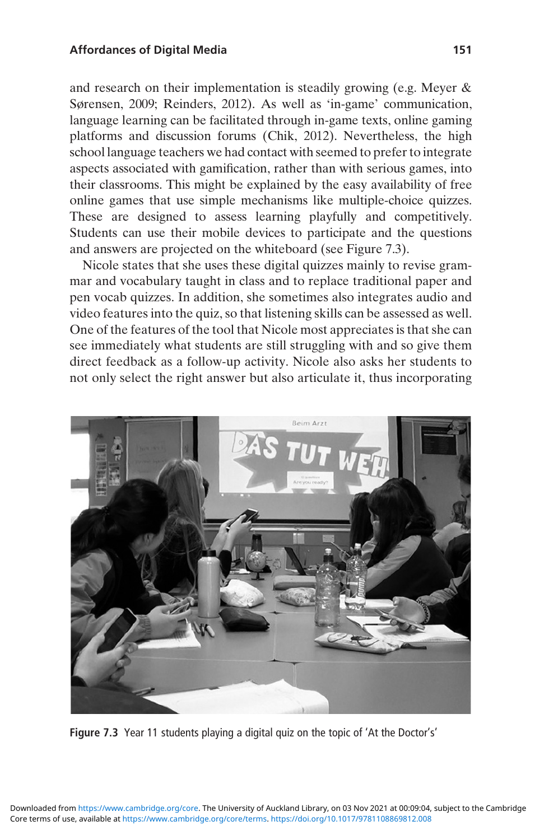and research on their implementation is steadily growing (e.g. Meyer & Sørensen, 2009; Reinders, 2012). As well as 'in-game' communication, language learning can be facilitated through in-game texts, online gaming platforms and discussion forums (Chik, 2012). Nevertheless, the high school language teachers we had contact with seemed to prefer to integrate aspects associated with gamification, rather than with serious games, into their classrooms. This might be explained by the easy availability of free online games that use simple mechanisms like multiple-choice quizzes. These are designed to assess learning playfully and competitively. Students can use their mobile devices to participate and the questions and answers are projected on the whiteboard (see Figure 7.3).

Nicole states that she uses these digital quizzes mainly to revise grammar and vocabulary taught in class and to replace traditional paper and pen vocab quizzes. In addition, she sometimes also integrates audio and video features into the quiz, so that listening skills can be assessed as well. One of the features of the tool that Nicole most appreciates is that she can see immediately what students are still struggling with and so give them direct feedback as a follow-up activity. Nicole also asks her students to not only select the right answer but also articulate it, thus incorporating



Figure 7.3 Year 11 students playing a digital quiz on the topic of 'At the Doctor's'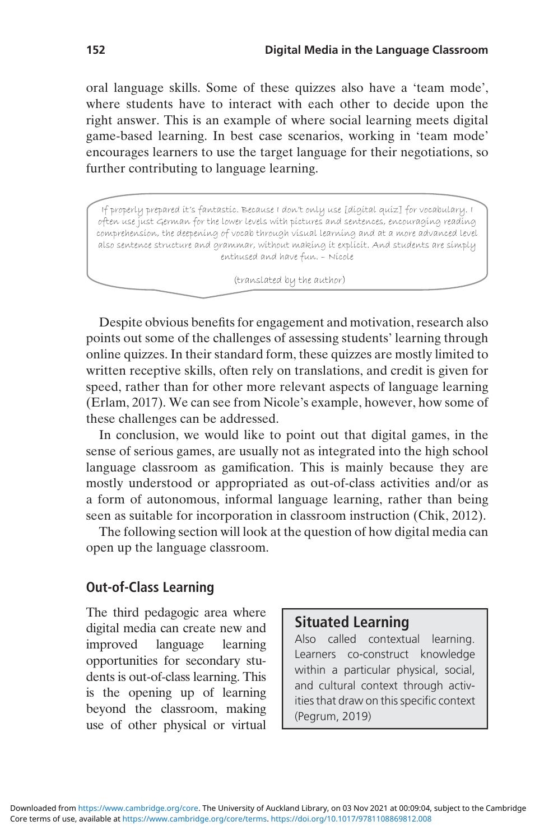oral language skills. Some of these quizzes also have a 'team mode', where students have to interact with each other to decide upon the right answer. This is an example of where social learning meets digital game-based learning. In best case scenarios, working in 'team mode' encourages learners to use the target language for their negotiations, so further contributing to language learning.

If properly prepared it's fantastic. Because I don't only use [digital quiz] for vocabulary. I often use just German for the lower levels with pictures and sentences, encouraging reading comprehension, the deepening of vocab through visual learning and at a more advanced level also sentence structure and grammar, without making it explicit. And students are simply enthused and have fun. – Nicole

(translated by the author)

Despite obvious benefits for engagement and motivation, research also points out some of the challenges of assessing students' learning through online quizzes. In their standard form, these quizzes are mostly limited to written receptive skills, often rely on translations, and credit is given for speed, rather than for other more relevant aspects of language learning (Erlam, 2017). We can see from Nicole's example, however, how some of these challenges can be addressed.

In conclusion, we would like to point out that digital games, in the sense of serious games, are usually not as integrated into the high school language classroom as gamification. This is mainly because they are mostly understood or appropriated as out-of-class activities and/or as a form of autonomous, informal language learning, rather than being seen as suitable for incorporation in classroom instruction (Chik, 2012).

The following section will look at the question of how digital media can open up the language classroom.

#### Out-of-Class Learning

The third pedagogic area where digital media can create new and improved language learning opportunities for secondary students is out-of-class learning. This is the opening up of learning beyond the classroom, making use of other physical or virtual

#### Situated Learning

Also called contextual learning. Learners co-construct knowledge within a particular physical, social, and cultural context through activities that draw on this specific context (Pegrum, 2019)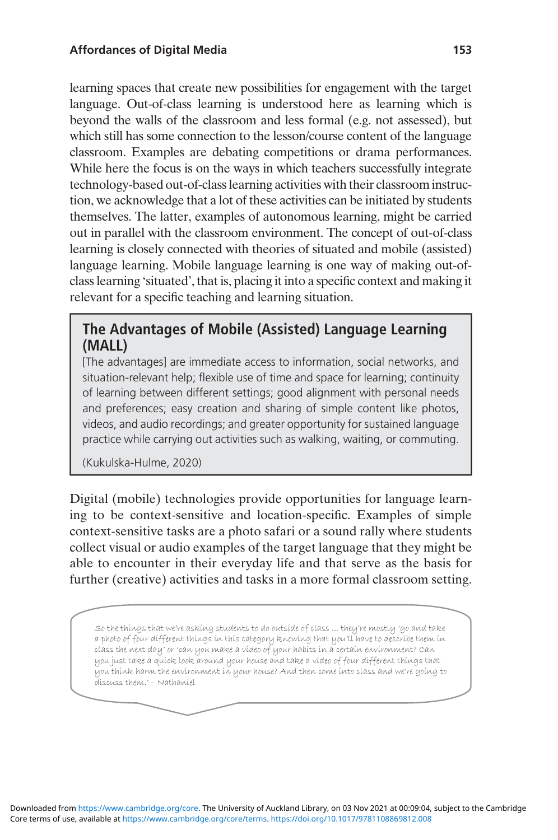learning spaces that create new possibilities for engagement with the target language. Out-of-class learning is understood here as learning which is beyond the walls of the classroom and less formal (e.g. not assessed), but which still has some connection to the lesson/course content of the language classroom. Examples are debating competitions or drama performances. While here the focus is on the ways in which teachers successfully integrate technology-based out-of-class learning activities with their classroom instruction, we acknowledge that a lot of these activities can be initiated by students themselves. The latter, examples of autonomous learning, might be carried out in parallel with the classroom environment. The concept of out-of-class learning is closely connected with theories of situated and mobile (assisted) language learning. Mobile language learning is one way of making out-ofclass learning 'situated', that is, placing it into a specific context and making it relevant for a specific teaching and learning situation.

#### The Advantages of Mobile (Assisted) Language Learning (MALL)

[The advantages] are immediate access to information, social networks, and situation-relevant help; flexible use of time and space for learning; continuity of learning between different settings; good alignment with personal needs and preferences; easy creation and sharing of simple content like photos, videos, and audio recordings; and greater opportunity for sustained language practice while carrying out activities such as walking, waiting, or commuting.

(Kukulska-Hulme, 2020)

Digital (mobile) technologies provide opportunities for language learning to be context-sensitive and location-specific. Examples of simple context-sensitive tasks are a photo safari or a sound rally where students collect visual or audio examples of the target language that they might be able to encounter in their everyday life and that serve as the basis for further (creative) activities and tasks in a more formal classroom setting.

So the things that we're asking students to do outside of class ... they're mostly 'go and take a photo of four different things in this category knowing that you'll have to describe them in class the next day' or 'can you make a video of your habits in a certain environment? Can you just take a quick look around your house and take a video of four different things that you think harm the environment in your house? And then come into class and we're going to discuss them.' – Nathaniel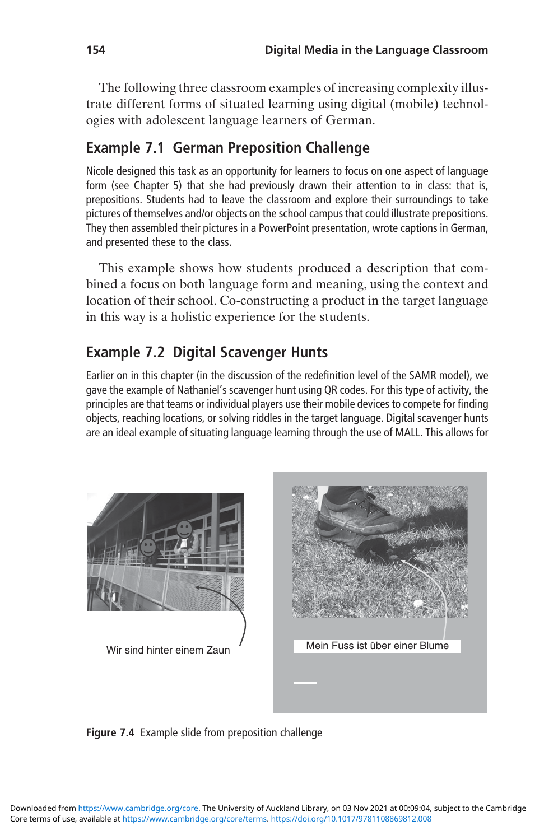The following three classroom examples of increasing complexity illustrate different forms of situated learning using digital (mobile) technologies with adolescent language learners of German.

### Example 7.1 German Preposition Challenge

Nicole designed this task as an opportunity for learners to focus on one aspect of language form (see Chapter 5) that she had previously drawn their attention to in class: that is, prepositions. Students had to leave the classroom and explore their surroundings to take pictures of themselves and/or objects on the school campus that could illustrate prepositions. They then assembled their pictures in a PowerPoint presentation, wrote captions in German, and presented these to the class.

This example shows how students produced a description that combined a focus on both language form and meaning, using the context and location of their school. Co-constructing a product in the target language in this way is a holistic experience for the students.

# Example 7.2 Digital Scavenger Hunts

Earlier on in this chapter (in the discussion of the redefinition level of the SAMR model), we gave the example of Nathaniel's scavenger hunt using QR codes. For this type of activity, the principles are that teams or individual players use their mobile devices to compete for finding objects, reaching locations, or solving riddles in the target language. Digital scavenger hunts are an ideal example of situating language learning through the use of MALL. This allows for



Figure 7.4 Example slide from preposition challenge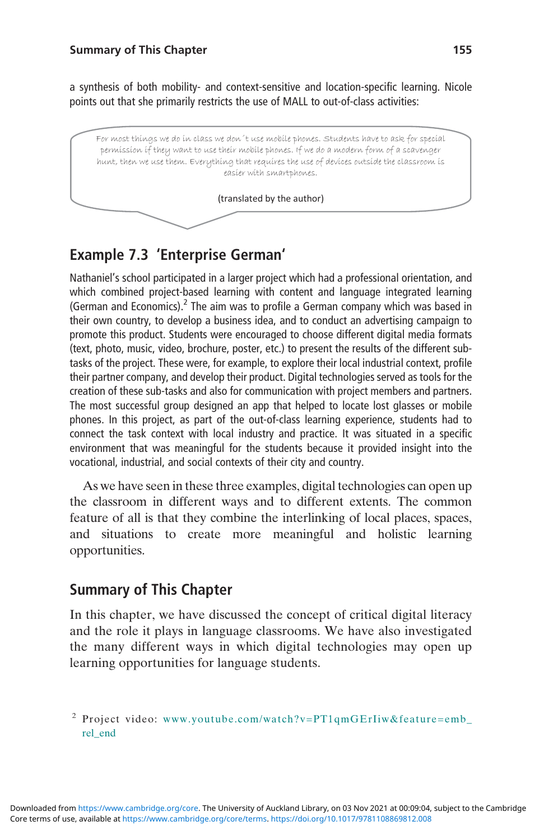a synthesis of both mobility- and context-sensitive and location-specific learning. Nicole points out that she primarily restricts the use of MALL to out-of-class activities:



### Example 7.3 'Enterprise German'

Nathaniel's school participated in a larger project which had a professional orientation, and which combined project-based learning with content and language integrated learning (German and Economics).<sup>2</sup> The aim was to profile a German company which was based in their own country, to develop a business idea, and to conduct an advertising campaign to promote this product. Students were encouraged to choose different digital media formats (text, photo, music, video, brochure, poster, etc.) to present the results of the different subtasks of the project. These were, for example, to explore their local industrial context, profile their partner company, and develop their product. Digital technologies served as tools for the creation of these sub-tasks and also for communication with project members and partners. The most successful group designed an app that helped to locate lost glasses or mobile phones. In this project, as part of the out-of-class learning experience, students had to connect the task context with local industry and practice. It was situated in a specific environment that was meaningful for the students because it provided insight into the vocational, industrial, and social contexts of their city and country.

As we have seen in these three examples, digital technologies can open up the classroom in different ways and to different extents. The common feature of all is that they combine the interlinking of local places, spaces, and situations to create more meaningful and holistic learning opportunities.

#### Summary of This Chapter

In this chapter, we have discussed the concept of critical digital literacy and the role it plays in language classrooms. We have also investigated the many different ways in which digital technologies may open up learning opportunities for language students.

<sup>2</sup> Project video: [www.youtube.com/watch?v=PT1qmGErIiw&feature=emb\\_](https://www.youtube.com/watch?v=PT1qmGErIiw%26feature=emb%5Frel%5Fend) [rel\\_end](https://www.youtube.com/watch?v=PT1qmGErIiw%26feature=emb%5Frel%5Fend)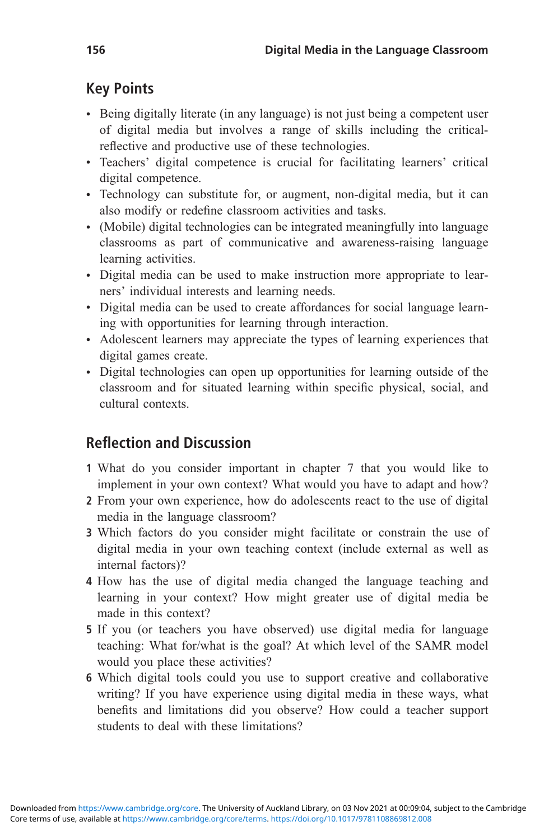# Key Points

- Being digitally literate (in any language) is not just being a competent user of digital media but involves a range of skills including the criticalreflective and productive use of these technologies.
- Teachers' digital competence is crucial for facilitating learners' critical digital competence.
- Technology can substitute for, or augment, non-digital media, but it can also modify or redefine classroom activities and tasks.
- (Mobile) digital technologies can be integrated meaningfully into language classrooms as part of communicative and awareness-raising language learning activities.
- Digital media can be used to make instruction more appropriate to learners' individual interests and learning needs.
- Digital media can be used to create affordances for social language learning with opportunities for learning through interaction.
- Adolescent learners may appreciate the types of learning experiences that digital games create.
- Digital technologies can open up opportunities for learning outside of the classroom and for situated learning within specific physical, social, and cultural contexts.

# Reflection and Discussion

- 1 What do you consider important in chapter 7 that you would like to implement in your own context? What would you have to adapt and how?
- 2 From your own experience, how do adolescents react to the use of digital media in the language classroom?
- 3 Which factors do you consider might facilitate or constrain the use of digital media in your own teaching context (include external as well as internal factors)?
- 4 How has the use of digital media changed the language teaching and learning in your context? How might greater use of digital media be made in this context?
- 5 If you (or teachers you have observed) use digital media for language teaching: What for/what is the goal? At which level of the SAMR model would you place these activities?
- 6 Which digital tools could you use to support creative and collaborative writing? If you have experience using digital media in these ways, what benefits and limitations did you observe? How could a teacher support students to deal with these limitations?